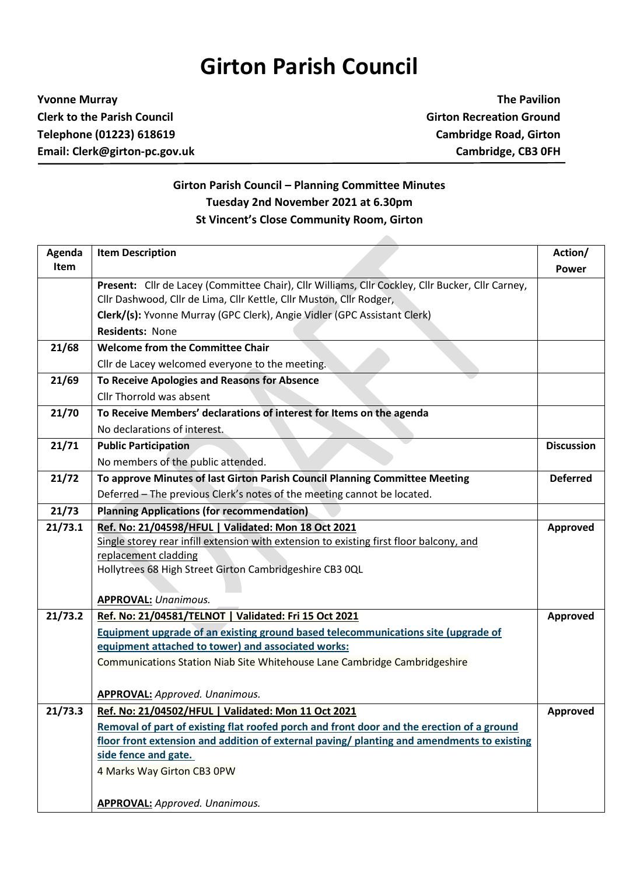## **Girton Parish Council**

**Yvonne Murray The Pavilion Clerk to the Parish Council Girton Recreation Ground Telephone (01223) 618619 Cambridge Road, Girton Email: Clerk@girton-pc.gov.uk Cambridge, CB3 0FH**

## **Girton Parish Council – Planning Committee Minutes Tuesday 2nd November 2021 at 6.30pm St Vincent's Close Community Room, Girton**

| Agenda  | <b>Item Description</b>                                                                          | Action/           |
|---------|--------------------------------------------------------------------------------------------------|-------------------|
| Item    |                                                                                                  | <b>Power</b>      |
|         | Present: Cllr de Lacey (Committee Chair), Cllr Williams, Cllr Cockley, Cllr Bucker, Cllr Carney, |                   |
|         | Cllr Dashwood, Cllr de Lima, Cllr Kettle, Cllr Muston, Cllr Rodger,                              |                   |
|         | Clerk/(s): Yvonne Murray (GPC Clerk), Angie Vidler (GPC Assistant Clerk)                         |                   |
|         | <b>Residents: None</b>                                                                           |                   |
| 21/68   | <b>Welcome from the Committee Chair</b>                                                          |                   |
|         | Cllr de Lacey welcomed everyone to the meeting.                                                  |                   |
| 21/69   | To Receive Apologies and Reasons for Absence                                                     |                   |
|         | Cllr Thorrold was absent                                                                         |                   |
| 21/70   | To Receive Members' declarations of interest for Items on the agenda                             |                   |
|         | No declarations of interest.                                                                     |                   |
| 21/71   | <b>Public Participation</b>                                                                      | <b>Discussion</b> |
|         | No members of the public attended.                                                               |                   |
| 21/72   | To approve Minutes of last Girton Parish Council Planning Committee Meeting                      | <b>Deferred</b>   |
|         | Deferred - The previous Clerk's notes of the meeting cannot be located.                          |                   |
| 21/73   | <b>Planning Applications (for recommendation)</b>                                                |                   |
| 21/73.1 | Ref. No: 21/04598/HFUL   Validated: Mon 18 Oct 2021                                              | <b>Approved</b>   |
|         | Single storey rear infill extension with extension to existing first floor balcony, and          |                   |
|         | replacement cladding                                                                             |                   |
|         | Hollytrees 68 High Street Girton Cambridgeshire CB3 0QL                                          |                   |
|         |                                                                                                  |                   |
|         | <b>APPROVAL: Unanimous.</b>                                                                      |                   |
| 21/73.2 | Ref. No: 21/04581/TELNOT   Validated: Fri 15 Oct 2021                                            | Approved          |
|         | Equipment upgrade of an existing ground based telecommunications site (upgrade of                |                   |
|         | equipment attached to tower) and associated works:                                               |                   |
|         | Communications Station Niab Site Whitehouse Lane Cambridge Cambridgeshire                        |                   |
|         |                                                                                                  |                   |
|         | <b>APPROVAL:</b> Approved. Unanimous.                                                            |                   |
| 21/73.3 | Ref. No: 21/04502/HFUL   Validated: Mon 11 Oct 2021                                              | <b>Approved</b>   |
|         | Removal of part of existing flat roofed porch and front door and the erection of a ground        |                   |
|         | floor front extension and addition of external paving/ planting and amendments to existing       |                   |
|         | side fence and gate.                                                                             |                   |
|         | 4 Marks Way Girton CB3 0PW                                                                       |                   |
|         |                                                                                                  |                   |
|         | <b>APPROVAL:</b> Approved. Unanimous.                                                            |                   |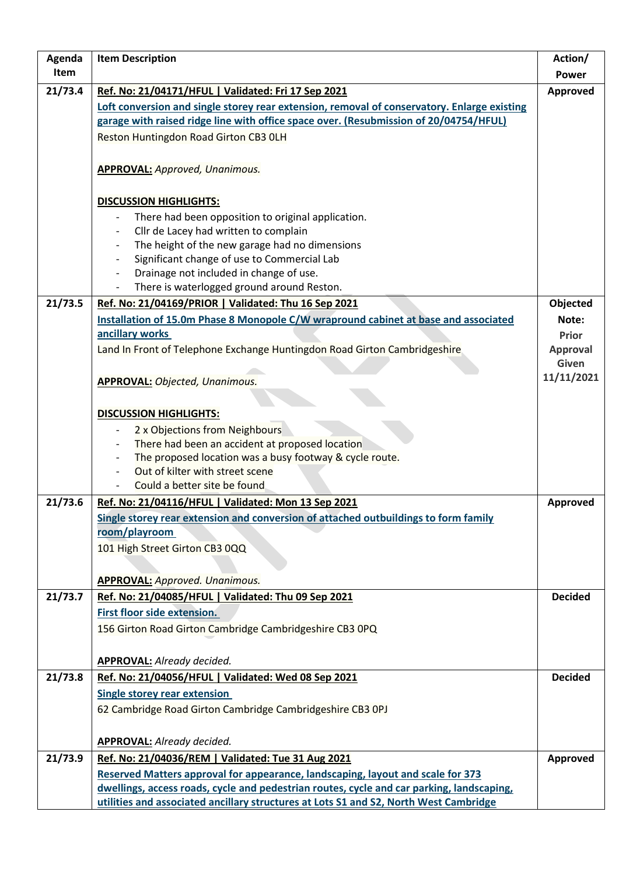| Agenda  | <b>Item Description</b>                                                                     | Action/         |
|---------|---------------------------------------------------------------------------------------------|-----------------|
| Item    |                                                                                             | <b>Power</b>    |
| 21/73.4 | Ref. No: 21/04171/HFUL   Validated: Fri 17 Sep 2021                                         | Approved        |
|         | Loft conversion and single storey rear extension, removal of conservatory. Enlarge existing |                 |
|         | garage with raised ridge line with office space over. (Resubmission of 20/04754/HFUL)       |                 |
|         | Reston Huntingdon Road Girton CB3 OLH                                                       |                 |
|         |                                                                                             |                 |
|         | <b>APPROVAL:</b> Approved, Unanimous.                                                       |                 |
|         |                                                                                             |                 |
|         | <b>DISCUSSION HIGHLIGHTS:</b>                                                               |                 |
|         | There had been opposition to original application.                                          |                 |
|         | Cllr de Lacey had written to complain                                                       |                 |
|         | The height of the new garage had no dimensions                                              |                 |
|         | Significant change of use to Commercial Lab                                                 |                 |
|         | Drainage not included in change of use.                                                     |                 |
|         | There is waterlogged ground around Reston.                                                  |                 |
| 21/73.5 | Ref. No: 21/04169/PRIOR   Validated: Thu 16 Sep 2021                                        | Objected        |
|         | Installation of 15.0m Phase 8 Monopole C/W wrapround cabinet at base and associated         | Note:           |
|         | ancillary works                                                                             | Prior           |
|         | Land In Front of Telephone Exchange Huntingdon Road Girton Cambridgeshire                   | <b>Approval</b> |
|         |                                                                                             | Given           |
|         | <b>APPROVAL: Objected, Unanimous.</b>                                                       | 11/11/2021      |
|         |                                                                                             |                 |
|         | <b>DISCUSSION HIGHLIGHTS:</b>                                                               |                 |
|         | 2 x Objections from Neighbours                                                              |                 |
|         | There had been an accident at proposed location                                             |                 |
|         | The proposed location was a busy footway & cycle route.                                     |                 |
|         | Out of kilter with street scene                                                             |                 |
|         | Could a better site be found                                                                |                 |
| 21/73.6 | Ref. No: 21/04116/HFUL   Validated: Mon 13 Sep 2021                                         | <b>Approved</b> |
|         | Single storey rear extension and conversion of attached outbuildings to form family         |                 |
|         | room/playroom                                                                               |                 |
|         | 101 High Street Girton CB3 0QQ                                                              |                 |
|         |                                                                                             |                 |
|         | <b>APPROVAL: Approved. Unanimous.</b>                                                       |                 |
| 21/73.7 | Ref. No: 21/04085/HFUL   Validated: Thu 09 Sep 2021                                         | <b>Decided</b>  |
|         | First floor side extension.                                                                 |                 |
|         | 156 Girton Road Girton Cambridge Cambridgeshire CB3 0PQ                                     |                 |
|         |                                                                                             |                 |
|         | <b>APPROVAL:</b> Already decided.                                                           |                 |
| 21/73.8 | Ref. No: 21/04056/HFUL   Validated: Wed 08 Sep 2021                                         | <b>Decided</b>  |
|         | <b>Single storey rear extension</b>                                                         |                 |
|         | 62 Cambridge Road Girton Cambridge Cambridgeshire CB3 OPJ                                   |                 |
|         |                                                                                             |                 |
|         | <b>APPROVAL:</b> Already decided.                                                           |                 |
| 21/73.9 | Ref. No: 21/04036/REM   Validated: Tue 31 Aug 2021                                          | Approved        |
|         | Reserved Matters approval for appearance, landscaping, layout and scale for 373             |                 |
|         | dwellings, access roads, cycle and pedestrian routes, cycle and car parking, landscaping,   |                 |
|         | utilities and associated ancillary structures at Lots S1 and S2, North West Cambridge       |                 |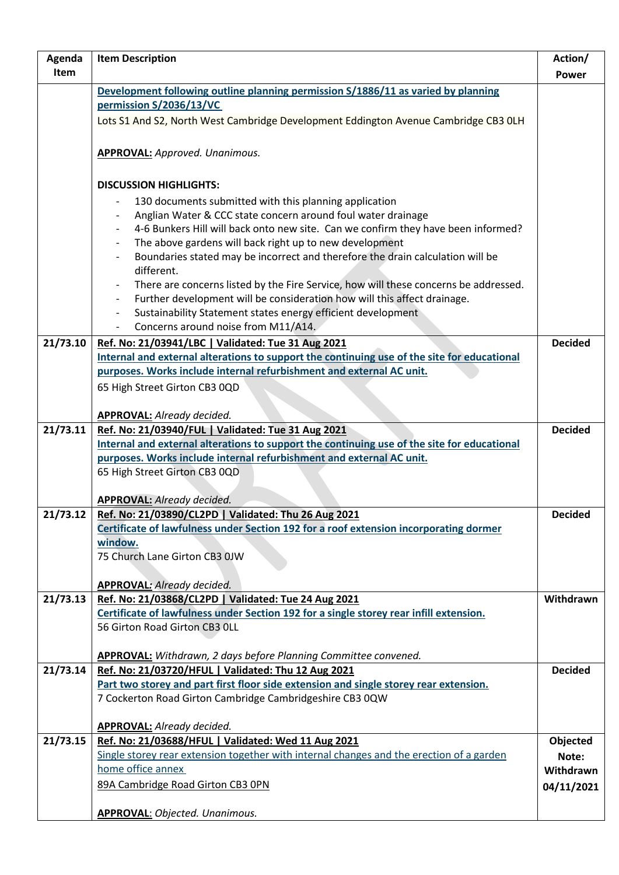| Agenda   | <b>Item Description</b>                                                                                                                                             | Action/        |
|----------|---------------------------------------------------------------------------------------------------------------------------------------------------------------------|----------------|
| Item     |                                                                                                                                                                     | <b>Power</b>   |
|          | Development following outline planning permission S/1886/11 as varied by planning                                                                                   |                |
|          | permission S/2036/13/VC                                                                                                                                             |                |
|          | Lots S1 And S2, North West Cambridge Development Eddington Avenue Cambridge CB3 OLH                                                                                 |                |
|          |                                                                                                                                                                     |                |
|          | <b>APPROVAL: Approved. Unanimous.</b>                                                                                                                               |                |
|          |                                                                                                                                                                     |                |
|          | <b>DISCUSSION HIGHLIGHTS:</b>                                                                                                                                       |                |
|          | 130 documents submitted with this planning application                                                                                                              |                |
|          | Anglian Water & CCC state concern around foul water drainage                                                                                                        |                |
|          | 4-6 Bunkers Hill will back onto new site. Can we confirm they have been informed?                                                                                   |                |
|          | The above gardens will back right up to new development                                                                                                             |                |
|          | Boundaries stated may be incorrect and therefore the drain calculation will be                                                                                      |                |
|          | different.                                                                                                                                                          |                |
|          | There are concerns listed by the Fire Service, how will these concerns be addressed.                                                                                |                |
|          | Further development will be consideration how will this affect drainage.                                                                                            |                |
|          | Sustainability Statement states energy efficient development<br>$\overline{\phantom{a}}$                                                                            |                |
|          | Concerns around noise from M11/A14.<br>$\overline{\phantom{a}}$                                                                                                     |                |
| 21/73.10 | Ref. No: 21/03941/LBC   Validated: Tue 31 Aug 2021                                                                                                                  | <b>Decided</b> |
|          | Internal and external alterations to support the continuing use of the site for educational                                                                         |                |
|          | purposes. Works include internal refurbishment and external AC unit.                                                                                                |                |
|          | 65 High Street Girton CB3 0QD                                                                                                                                       |                |
|          |                                                                                                                                                                     |                |
|          | <b>APPROVAL: Already decided.</b>                                                                                                                                   |                |
| 21/73.11 | Ref. No: 21/03940/FUL   Validated: Tue 31 Aug 2021                                                                                                                  | <b>Decided</b> |
|          | Internal and external alterations to support the continuing use of the site for educational<br>purposes. Works include internal refurbishment and external AC unit. |                |
|          | 65 High Street Girton CB3 0QD                                                                                                                                       |                |
|          |                                                                                                                                                                     |                |
|          | <b>APPROVAL: Already decided.</b>                                                                                                                                   |                |
| 21/73.12 | Ref. No: 21/03890/CL2PD   Validated: Thu 26 Aug 2021                                                                                                                | <b>Decided</b> |
|          | Certificate of lawfulness under Section 192 for a roof extension incorporating dormer                                                                               |                |
|          | window.                                                                                                                                                             |                |
|          | 75 Church Lane Girton CB3 0JW                                                                                                                                       |                |
|          |                                                                                                                                                                     |                |
|          | <b>APPROVAL: Already decided.</b>                                                                                                                                   |                |
| 21/73.13 | Ref. No: 21/03868/CL2PD   Validated: Tue 24 Aug 2021                                                                                                                | Withdrawn      |
|          | Certificate of lawfulness under Section 192 for a single storey rear infill extension.<br>56 Girton Road Girton CB3 OLL                                             |                |
|          |                                                                                                                                                                     |                |
|          | <b>APPROVAL:</b> Withdrawn, 2 days before Planning Committee convened.                                                                                              |                |
| 21/73.14 | Ref. No: 21/03720/HFUL   Validated: Thu 12 Aug 2021                                                                                                                 | <b>Decided</b> |
|          | Part two storey and part first floor side extension and single storey rear extension.                                                                               |                |
|          | 7 Cockerton Road Girton Cambridge Cambridgeshire CB3 0QW                                                                                                            |                |
|          |                                                                                                                                                                     |                |
|          | <b>APPROVAL:</b> Already decided.                                                                                                                                   |                |
| 21/73.15 | Ref. No: 21/03688/HFUL   Validated: Wed 11 Aug 2021                                                                                                                 | Objected       |
|          | Single storey rear extension together with internal changes and the erection of a garden                                                                            | Note:          |
|          | home office annex                                                                                                                                                   | Withdrawn      |
|          | 89A Cambridge Road Girton CB3 OPN                                                                                                                                   | 04/11/2021     |
|          |                                                                                                                                                                     |                |
|          | <b>APPROVAL: Objected. Unanimous.</b>                                                                                                                               |                |